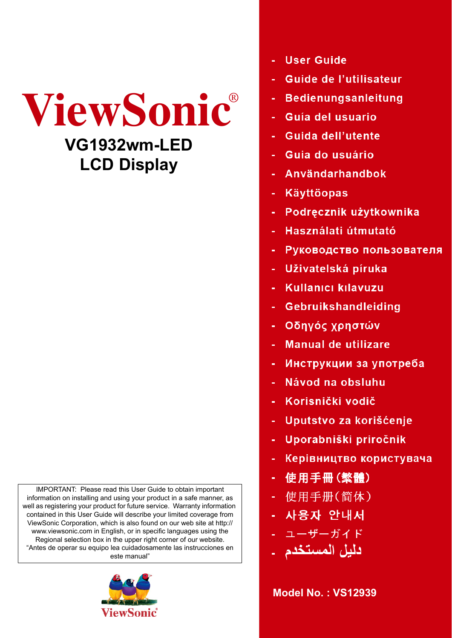

IMPORTANT: Please read this User Guide to obtain important information on installing and using your product in a safe manner, as well as registering your product for future service. Warranty information contained in this User Guide will describe your limited coverage from ViewSonic Corporation, which is also found on our web site at http:// www.viewsonic.com in English, or in specific languages using the Regional selection box in the upper right corner of our website. "Antes de operar su equipo lea cuidadosamente las instrucciones en este manual"



- **User Guide**
- **Guide de l'utilisateur**
- **Bedienungsanleitung**
- Guía del usuario
- Guida dell'utente
- Guia do usuário
- Användarhandbok
- **Käyttöopas**
- Podręcznik użytkownika
- Használati útmutató
- Руководство пользователя
- Uživatelská píruka
- Kullanıcı kılavuzu
- Gebruikshandleiding
- Οδηγός χρηστών
- **Manual de utilizare**
- Инструкции за употреба
- Návod na obsluhu
- Korisnički vodič
- Uputstvo za korišćenje
- Uporabniški priročnik
- Керівництво користувача
- 使用手冊 (繁體)
- 使用手册(简体)
- 사용자 안내서
- ユーザーガイド
- دلبل المستخد

**Model No. : VS12939**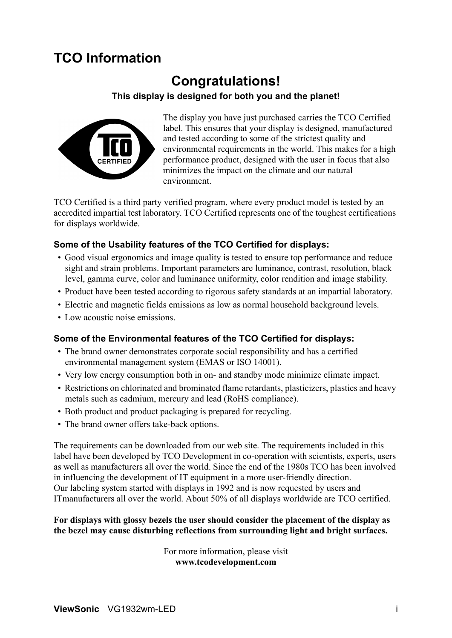# **TCO Information**

# **Congratulations!**

## **This display is designed for both you and the planet!**



The display you have just purchased carries the TCO Certified label. This ensures that your display is designed, manufactured and tested according to some of the strictest quality and environmental requirements in the world. This makes for a high performance product, designed with the user in focus that also minimizes the impact on the climate and our natural environment.

TCO Certified is a third party verified program, where every product model is tested by an accredited impartial test laboratory. TCO Certified represents one of the toughest certifications for displays worldwide.

## **Some of the Usability features of the TCO Certified for displays:**

- Good visual ergonomics and image quality is tested to ensure top performance and reduce sight and strain problems. Important parameters are luminance, contrast, resolution, black level, gamma curve, color and luminance uniformity, color rendition and image stability.
- Product have been tested according to rigorous safety standards at an impartial laboratory.
- Electric and magnetic fields emissions as low as normal household background levels.
- Low acoustic noise emissions.

### **Some of the Environmental features of the TCO Certified for displays:**

- The brand owner demonstrates corporate social responsibility and has a certified environmental management system (EMAS or ISO 14001).
- Very low energy consumption both in on- and standby mode minimize climate impact.
- Restrictions on chlorinated and brominated flame retardants, plasticizers, plastics and heavy metals such as cadmium, mercury and lead (RoHS compliance).
- Both product and product packaging is prepared for recycling.
- The brand owner offers take-back options.

The requirements can be downloaded from our web site. The requirements included in this label have been developed by TCO Development in co-operation with scientists, experts, users as well as manufacturers all over the world. Since the end of the 1980s TCO has been involved in influencing the development of IT equipment in a more user-friendly direction. Our labeling system started with displays in 1992 and is now requested by users and ITmanufacturers all over the world. About 50% of all displays worldwide are TCO certified.

### **For displays with glossy bezels the user should consider the placement of the display as the bezel may cause disturbing reflections from surrounding light and bright surfaces.**

For more information, please visit **www.tcodevelopment.com**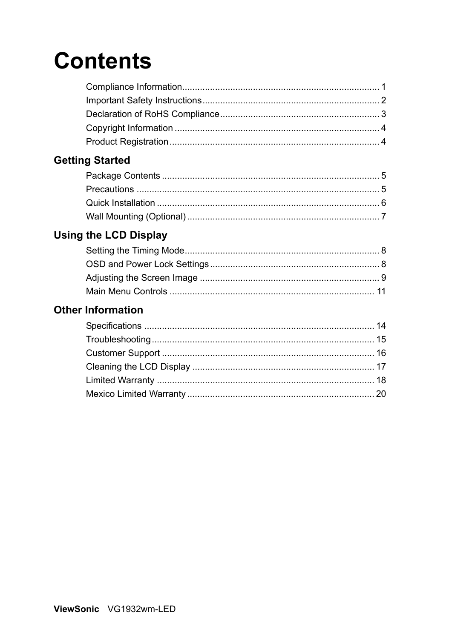# **Contents**

# **Getting Started**

# **Using the LCD Display**

# **Other Information**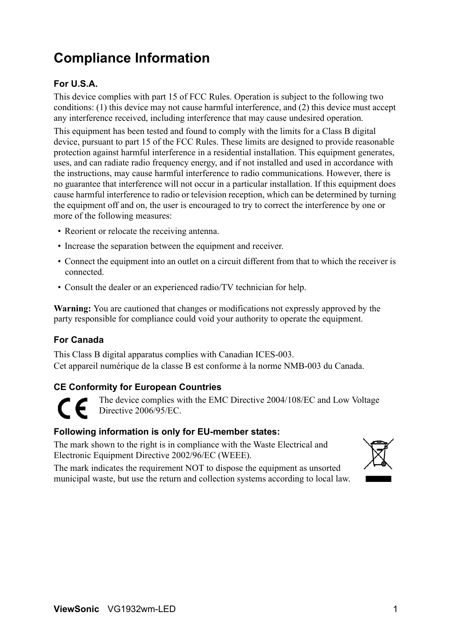# **Compliance Information**

# **For U.S.A.**

This device complies with part 15 of FCC Rules. Operation is subject to the following two conditions: (1) this device may not cause harmful interference, and (2) this device must accept any interference received, including interference that may cause undesired operation.

This equipment has been tested and found to comply with the limits for a Class B digital device, pursuant to part 15 of the FCC Rules. These limits are designed to provide reasonable protection against harmful interference in a residential installation. This equipment generates, uses, and can radiate radio frequency energy, and if not installed and used in accordance with the instructions, may cause harmful interference to radio communications. However, there is no guarantee that interference will not occur in a particular installation. If this equipment does cause harmful interference to radio or television reception, which can be determined by turning the equipment off and on, the user is encouraged to try to correct the interference by one or more of the following measures:

- Reorient or relocate the receiving antenna.
- Increase the separation between the equipment and receiver.
- Connect the equipment into an outlet on a circuit different from that to which the receiver is connected.
- Consult the dealer or an experienced radio/TV technician for help.

**Warning:** You are cautioned that changes or modifications not expressly approved by the party responsible for compliance could void your authority to operate the equipment.

## **For Canada**

This Class B digital apparatus complies with Canadian ICES-003. Cet appareil numérique de la classe B est conforme à la norme NMB-003 du Canada.

## **CE Conformity for European Countries**

The device complies with the EMC Directive 2004/108/EC and Low Voltage Directive 2006/95/EC.

### **Following information is only for EU-member states:**

The mark shown to the right is in compliance with the Waste Electrical and Electronic Equipment Directive 2002/96/EC (WEEE).

The mark indicates the requirement NOT to dispose the equipment as unsorted municipal waste, but use the return and collection systems according to local law.

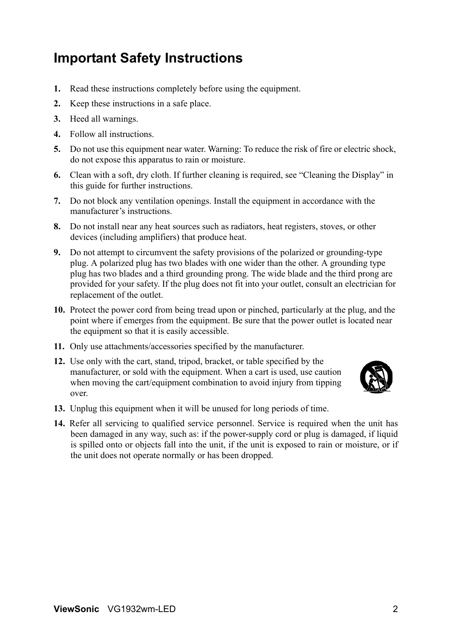# **Important Safety Instructions**

- **1.** Read these instructions completely before using the equipment.
- **2.** Keep these instructions in a safe place.
- **3.** Heed all warnings.
- **4.** Follow all instructions.
- **5.** Do not use this equipment near water. Warning: To reduce the risk of fire or electric shock, do not expose this apparatus to rain or moisture.
- **6.** Clean with a soft, dry cloth. If further cleaning is required, see "Cleaning the Display" in this guide for further instructions.
- **7.** Do not block any ventilation openings. Install the equipment in accordance with the manufacturer's instructions.
- **8.** Do not install near any heat sources such as radiators, heat registers, stoves, or other devices (including amplifiers) that produce heat.
- **9.** Do not attempt to circumvent the safety provisions of the polarized or grounding-type plug. A polarized plug has two blades with one wider than the other. A grounding type plug has two blades and a third grounding prong. The wide blade and the third prong are provided for your safety. If the plug does not fit into your outlet, consult an electrician for replacement of the outlet.
- **10.** Protect the power cord from being tread upon or pinched, particularly at the plug, and the point where if emerges from the equipment. Be sure that the power outlet is located near the equipment so that it is easily accessible.
- **11.** Only use attachments/accessories specified by the manufacturer.
- **12.** Use only with the cart, stand, tripod, bracket, or table specified by the manufacturer, or sold with the equipment. When a cart is used, use caution when moving the cart/equipment combination to avoid injury from tipping over.



- **13.** Unplug this equipment when it will be unused for long periods of time.
- **14.** Refer all servicing to qualified service personnel. Service is required when the unit has been damaged in any way, such as: if the power-supply cord or plug is damaged, if liquid is spilled onto or objects fall into the unit, if the unit is exposed to rain or moisture, or if the unit does not operate normally or has been dropped.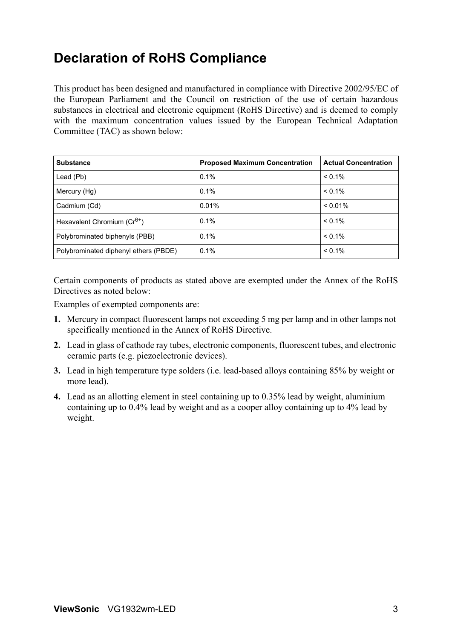# **Declaration of RoHS Compliance**

This product has been designed and manufactured in compliance with Directive 2002/95/EC of the European Parliament and the Council on restriction of the use of certain hazardous substances in electrical and electronic equipment (RoHS Directive) and is deemed to comply with the maximum concentration values issued by the European Technical Adaptation Committee (TAC) as shown below:

| <b>Substance</b>                        | <b>Proposed Maximum Concentration</b> | <b>Actual Concentration</b> |
|-----------------------------------------|---------------------------------------|-----------------------------|
| Lead (Pb)                               | 0.1%                                  | $< 0.1\%$                   |
| Mercury (Hg)                            | 0.1%                                  | $< 0.1\%$                   |
| Cadmium (Cd)                            | 0.01%                                 | $< 0.01\%$                  |
| Hexavalent Chromium (Cr <sup>6+</sup> ) | $0.1\%$                               | $< 0.1\%$                   |
| Polybrominated biphenyls (PBB)          | 0.1%                                  | $< 0.1\%$                   |
| Polybrominated diphenyl ethers (PBDE)   | 0.1%                                  | $< 0.1\%$                   |

Certain components of products as stated above are exempted under the Annex of the RoHS Directives as noted below:

Examples of exempted components are:

- **1.** Mercury in compact fluorescent lamps not exceeding 5 mg per lamp and in other lamps not specifically mentioned in the Annex of RoHS Directive.
- **2.** Lead in glass of cathode ray tubes, electronic components, fluorescent tubes, and electronic ceramic parts (e.g. piezoelectronic devices).
- **3.** Lead in high temperature type solders (i.e. lead-based alloys containing 85% by weight or more lead).
- **4.** Lead as an allotting element in steel containing up to 0.35% lead by weight, aluminium containing up to 0.4% lead by weight and as a cooper alloy containing up to 4% lead by weight.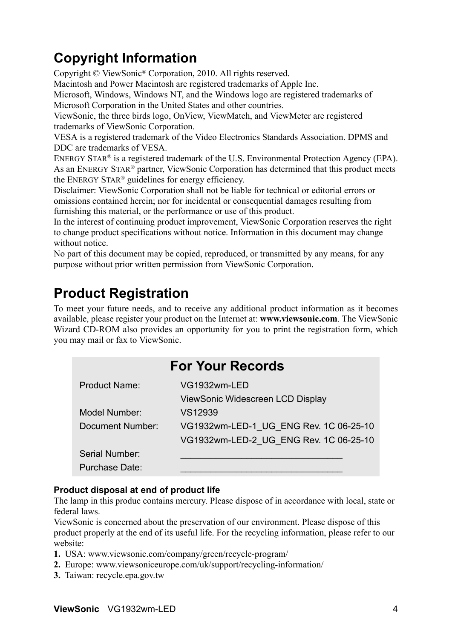# **Copyright Information**

Copyright © ViewSonic® Corporation, 2010. All rights reserved.

Macintosh and Power Macintosh are registered trademarks of Apple Inc.

Microsoft, Windows, Windows NT, and the Windows logo are registered trademarks of Microsoft Corporation in the United States and other countries.

ViewSonic, the three birds logo, OnView, ViewMatch, and ViewMeter are registered trademarks of ViewSonic Corporation.

VESA is a registered trademark of the Video Electronics Standards Association. DPMS and DDC are trademarks of VESA.

ENERGY STAR® is a registered trademark of the U.S. Environmental Protection Agency (EPA). As an ENERGY STAR® partner, ViewSonic Corporation has determined that this product meets the ENERGY STAR® guidelines for energy efficiency.

Disclaimer: ViewSonic Corporation shall not be liable for technical or editorial errors or omissions contained herein; nor for incidental or consequential damages resulting from furnishing this material, or the performance or use of this product.

In the interest of continuing product improvement, ViewSonic Corporation reserves the right to change product specifications without notice. Information in this document may change without notice

No part of this document may be copied, reproduced, or transmitted by any means, for any purpose without prior written permission from ViewSonic Corporation.

# **Product Registration**

To meet your future needs, and to receive any additional product information as it becomes available, please register your product on the Internet at: **www.viewsonic.com**. The ViewSonic Wizard CD-ROM also provides an opportunity for you to print the registration form, which you may mail or fax to ViewSonic.

| <b>For Your Records</b> |                                        |  |
|-------------------------|----------------------------------------|--|
| <b>Product Name:</b>    | VG1932wm-LED                           |  |
|                         | ViewSonic Widescreen LCD Display       |  |
| Model Number:           | VS12939                                |  |
| Document Number:        | VG1932wm-LED-1 UG ENG Rev. 1C 06-25-10 |  |
|                         | VG1932wm-LED-2 UG_ENG Rev. 1C 06-25-10 |  |
| Serial Number:          |                                        |  |
| <b>Purchase Date:</b>   |                                        |  |

## **Product disposal at end of product life**

The lamp in this produc contains mercury. Please dispose of in accordance with local, state or federal laws.

ViewSonic is concerned about the preservation of our environment. Please dispose of this product properly at the end of its useful life. For the recycling information, please refer to our website:

- **1.** USA: www.viewsonic.com/company/green/recycle-program/
- **2.** Europe: www.viewsoniceurope.com/uk/support/recycling-information/
- **3.** Taiwan: recycle.epa.gov.tw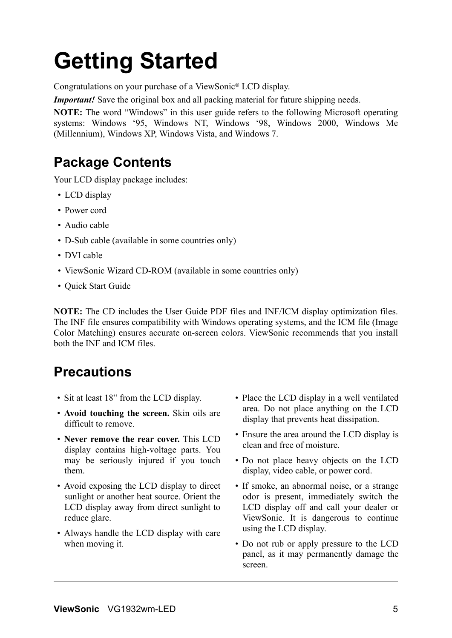# **Getting Started**

Congratulations on your purchase of a ViewSonic® LCD display.

*Important!* Save the original box and all packing material for future shipping needs.

**NOTE:** The word "Windows" in this user guide refers to the following Microsoft operating systems: Windows '95, Windows NT, Windows '98, Windows 2000, Windows Me (Millennium), Windows XP, Windows Vista, and Windows 7.

# **Package Contents**

Your LCD display package includes:

- LCD display
- Power cord
- Audio cable
- D-Sub cable (available in some countries only)
- DVI cable
- ViewSonic Wizard CD-ROM (available in some countries only)
- Quick Start Guide

**NOTE:** The CD includes the User Guide PDF files and INF/ICM display optimization files. The INF file ensures compatibility with Windows operating systems, and the ICM file (Image Color Matching) ensures accurate on-screen colors. ViewSonic recommends that you install both the INF and ICM files.

# **Precautions**

- Sit at least 18" from the LCD display.
- **Avoid touching the screen.** Skin oils are difficult to remove.
- **Never remove the rear cover.** This LCD display contains high-voltage parts. You may be seriously injured if you touch them.
- Avoid exposing the LCD display to direct sunlight or another heat source. Orient the LCD display away from direct sunlight to reduce glare.
- Always handle the LCD display with care when moving it.
- Place the LCD display in a well ventilated area. Do not place anything on the LCD display that prevents heat dissipation.
- Ensure the area around the LCD display is clean and free of moisture.
- Do not place heavy objects on the LCD display, video cable, or power cord.
- If smoke, an abnormal noise, or a strange odor is present, immediately switch the LCD display off and call your dealer or ViewSonic. It is dangerous to continue using the LCD display.
- Do not rub or apply pressure to the LCD panel, as it may permanently damage the screen.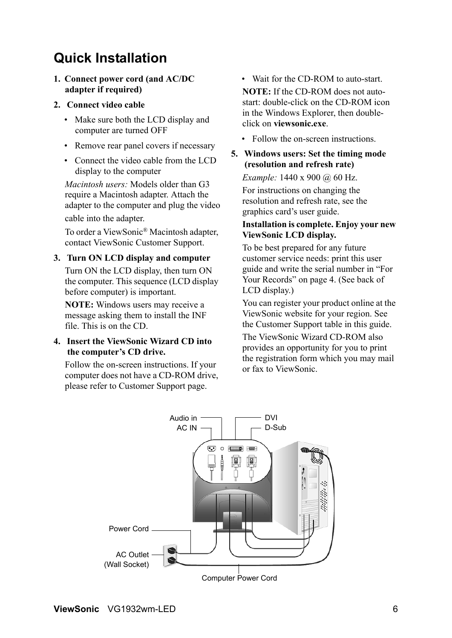# **Quick Installation**

**1. Connect power cord (and AC/DC adapter if required)**

### **2. Connect video cable**

- Make sure both the LCD display and computer are turned OFF
- Remove rear panel covers if necessary
- Connect the video cable from the LCD display to the computer

*Macintosh users:* Models older than G3 require a Macintosh adapter. Attach the adapter to the computer and plug the video cable into the adapter.

To order a ViewSonic® Macintosh adapter, contact ViewSonic Customer Support.

### **3. Turn ON LCD display and computer**

Turn ON the LCD display, then turn ON the computer. This sequence (LCD display before computer) is important.

**NOTE:** Windows users may receive a message asking them to install the INF file. This is on the CD.

### **4. Insert the ViewSonic Wizard CD into the computer's CD drive.**

Follow the on-screen instructions. If your computer does not have a CD-ROM drive, please refer to Customer Support page.

• Wait for the CD-ROM to auto-start.

**NOTE:** If the CD-ROM does not autostart: double-click on the CD-ROM icon in the Windows Explorer, then doubleclick on **viewsonic.exe**.

- Follow the on-screen instructions.
- **5. Windows users: Set the timing mode (resolution and refresh rate)**

*Example:* 1440 x 900 @ 60 Hz.

For instructions on changing the resolution and refresh rate, see the graphics card's user guide.

### **Installation is complete. Enjoy your new ViewSonic LCD display.**

To be best prepared for any future customer service needs: print this user guide and write the serial number in "For Your Records" on page 4. (See back of LCD display.)

You can register your product online at the ViewSonic website for your region. See the Customer Support table in this guide.

The ViewSonic Wizard CD-ROM also provides an opportunity for you to print the registration form which you may mail or fax to ViewSonic.

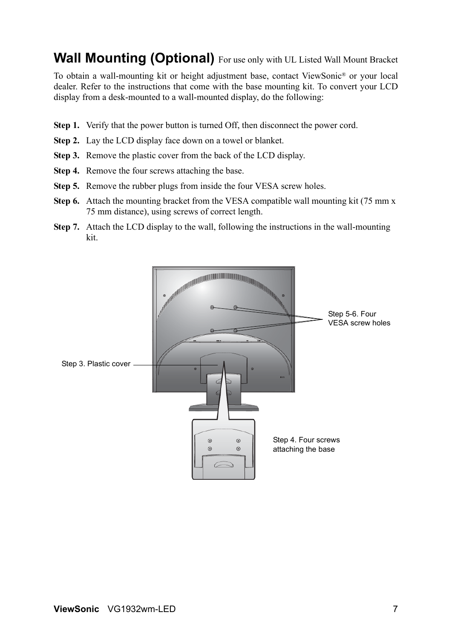# **Wall Mounting (Optional)** For use only with UL Listed Wall Mount Bracket

To obtain a wall-mounting kit or height adjustment base, contact ViewSonic® or your local dealer. Refer to the instructions that come with the base mounting kit. To convert your LCD display from a desk-mounted to a wall-mounted display, do the following:

- **Step 1.** Verify that the power button is turned Off, then disconnect the power cord.
- **Step 2.** Lay the LCD display face down on a towel or blanket.
- **Step 3.** Remove the plastic cover from the back of the LCD display.
- **Step 4.** Remove the four screws attaching the base.
- **Step 5.** Remove the rubber plugs from inside the four VESA screw holes.
- **Step 6.** Attach the mounting bracket from the VESA compatible wall mounting kit (75 mm x) 75 mm distance), using screws of correct length.
- **Step 7.** Attach the LCD display to the wall, following the instructions in the wall-mounting kit.

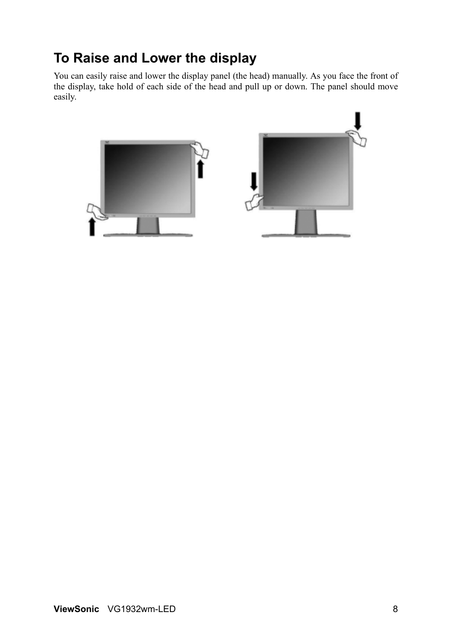# **To Raise and Lower the display**

You can easily raise and lower the display panel (the head) manually. As you face the front of the display, take hold of each side of the head and pull up or down. The panel should move easily.

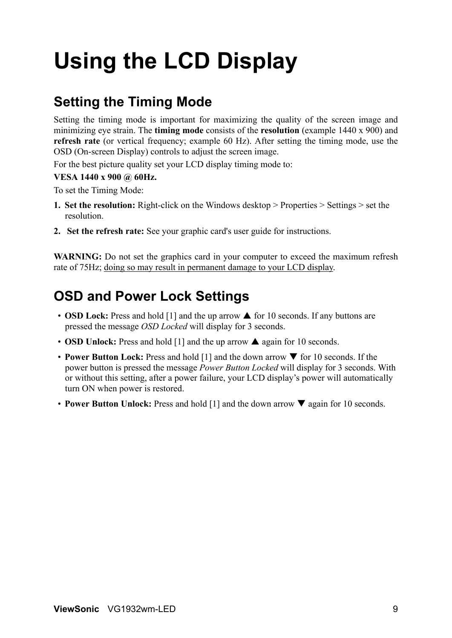# **Using the LCD Display**

# **Setting the Timing Mode**

Setting the timing mode is important for maximizing the quality of the screen image and minimizing eye strain. The **timing mode** consists of the **resolution** (example 1440 x 900) and **refresh rate** (or vertical frequency; example 60 Hz). After setting the timing mode, use the OSD (On-screen Display) controls to adjust the screen image.

For the best picture quality set your LCD display timing mode to:

### **VESA 1440 x 900 @ 60Hz.**

To set the Timing Mode:

- **1. Set the resolution:** Right-click on the Windows desktop > Properties > Settings > set the resolution.
- **2. Set the refresh rate:** See your graphic card's user guide for instructions.

**WARNING:** Do not set the graphics card in your computer to exceed the maximum refresh rate of 75Hz; doing so may result in permanent damage to your LCD display.

# **OSD and Power Lock Settings**

- **OSD Lock:** Press and hold [1] and the up arrow  $\triangle$  for 10 seconds. If any buttons are pressed the message *OSD Locked* will display for 3 seconds.
- **OSD Unlock:** Press and hold  $[1]$  and the up arrow  $\triangle$  again for 10 seconds.
- **Power Button Lock:** Press and hold [1] and the down arrow  $\blacktriangledown$  for 10 seconds. If the power button is pressed the message *Power Button Locked* will display for 3 seconds. With or without this setting, after a power failure, your LCD display's power will automatically turn ON when power is restored.
- **Power Button Unlock:** Press and hold [1] and the down arrow  $\nabla$  again for 10 seconds.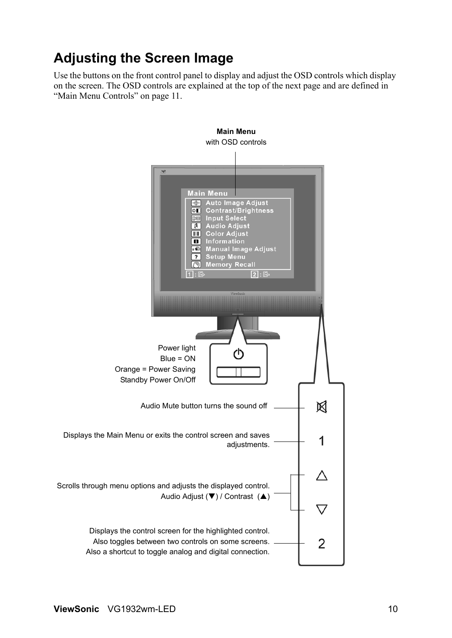# **Adjusting the Screen Image**

Use the buttons on the front control panel to display and adjust the OSD controls which display on the screen. The OSD controls are explained at the top of the next page and are defined in "Main Menu Controls" on page 11.

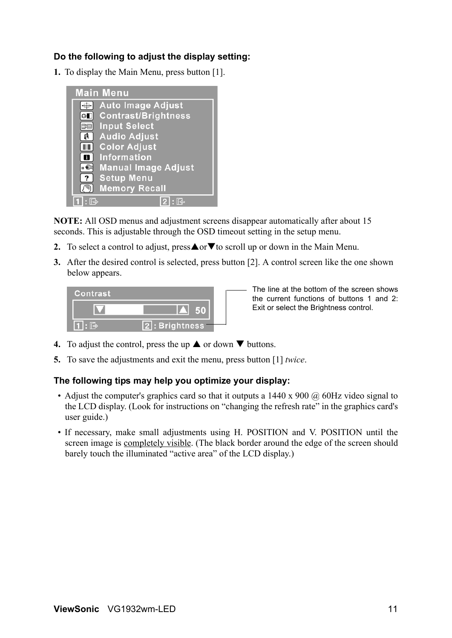## **Do the following to adjust the display setting:**

**1.** To display the Main Menu, press button [1].



**NOTE:** All OSD menus and adjustment screens disappear automatically after about 15 seconds. This is adjustable through the OSD timeout setting in the setup menu.

- **2.** To select a control to adjust, press $\triangle$  or  $\nabla$  to scroll up or down in the Main Menu.
- **3.** After the desired control is selected, press button [2]. A control screen like the one shown below appears.



The line at the bottom of the screen shows the current functions of buttons 1 and 2: Exit or select the Brightness control.

- **4.** To adjust the control, press the up  $\triangle$  or down  $\nabla$  buttons.
- **5.** To save the adjustments and exit the menu, press button [1] *twice*.

### **The following tips may help you optimize your display:**

- Adjust the computer's graphics card so that it outputs a  $1440 \times 900 \omega$  60Hz video signal to the LCD display. (Look for instructions on "changing the refresh rate" in the graphics card's user guide.)
- If necessary, make small adjustments using H. POSITION and V. POSITION until the screen image is completely visible. (The black border around the edge of the screen should barely touch the illuminated "active area" of the LCD display.)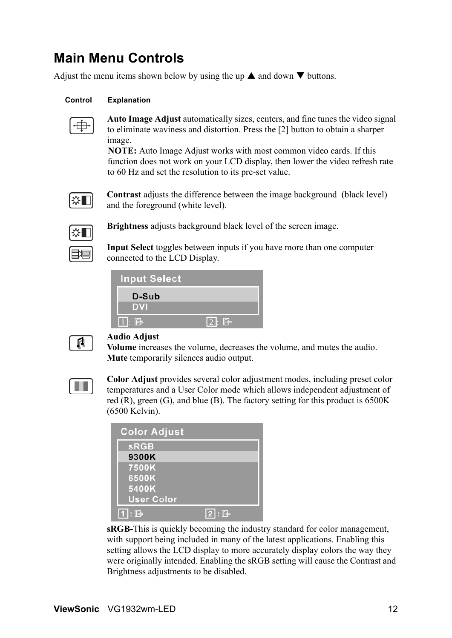# **Main Menu Controls**

Adjust the menu items shown below by using the up  $\blacktriangle$  and down  $\nabla$  buttons.

#### **Control Explanation**

**Auto Image Adjust** automatically sizes, centers, and fine tunes the video signal to eliminate waviness and distortion. Press the [2] button to obtain a sharper image.

**NOTE:** Auto Image Adjust works with most common video cards. If this function does not work on your LCD display, then lower the video refresh rate to 60 Hz and set the resolution to its pre-set value.



**Contrast** adjusts the difference between the image background (black level) and the foreground (white level).



**Brightness** adjusts background black level of the screen image.

**Input Select** toggles between inputs if you have more than one computer connected to the LCD Display.

| <b>Input Select</b> |                           |
|---------------------|---------------------------|
| D-Sub               |                           |
| <b>DVI</b>          |                           |
| $1: \mathbb{B}$     | $\boxed{2}$ : $\boxed{3}$ |



#### **Audio Adjust**

**Volume** increases the volume, decreases the volume, and mutes the audio. **Mute** temporarily silences audio output.



**Color Adjust** provides several color adjustment modes, including preset color temperatures and a User Color mode which allows independent adjustment of red  $(R)$ , green  $(G)$ , and blue  $(B)$ . The factory setting for this product is 6500K (6500 Kelvin).

| <b>Color Adjust</b> |              |
|---------------------|--------------|
| <b>sRGB</b>         |              |
| 9300K               |              |
| 7500K               |              |
| 6500K               |              |
| 5400K               |              |
| <b>User Color</b>   |              |
| : $\mathbb{R}$      | $\mathbb{R}$ |

**sRGB-**This is quickly becoming the industry standard for color management, with support being included in many of the latest applications. Enabling this setting allows the LCD display to more accurately display colors the way they were originally intended. Enabling the sRGB setting will cause the Contrast and Brightness adjustments to be disabled.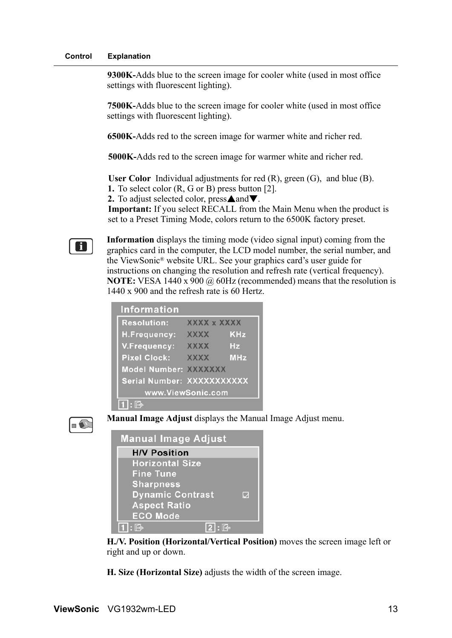#### **Control Explanation**

**9300K-**Adds blue to the screen image for cooler white (used in most office settings with fluorescent lighting).

**7500K-**Adds blue to the screen image for cooler white (used in most office settings with fluorescent lighting).

**6500K-**Adds red to the screen image for warmer white and richer red.

**5000K-**Adds red to the screen image for warmer white and richer red.

**User Color** Individual adjustments for red (R), green (G), and blue (B).

**1.** To select color (R, G or B) press button [2].

**2.** To adjust selected color, press $\triangle$  and  $\nabla$ .

**Important:** If you select RECALL from the Main Menu when the product is set to a Preset Timing Mode, colors return to the 6500K factory preset.

**Information** displays the timing mode (video signal input) coming from the graphics card in the computer, the LCD model number, the serial number, and the ViewSonic® website URL. See your graphics card's user guide for instructions on changing the resolution and refresh rate (vertical frequency). **NOTE:** VESA 1440 x 900 @ 60Hz (recommended) means that the resolution is 1440 x 900 and the refresh rate is 60 Hertz.

| <b>Information</b>    |                            |            |
|-----------------------|----------------------------|------------|
| <b>Resolution:</b>    | XXXX x XXXX                |            |
| H.Frequency:          | <b>XXXX</b>                | <b>KHz</b> |
| V.Frequency:          | <b>XXXX</b>                | Hz         |
| <b>Pixel Clock:</b>   | <b>XXXX</b>                | <b>MHz</b> |
| Model Number: XXXXXXX |                            |            |
|                       | Serial Number: XXXXXXXXXXX |            |
| www.ViewSonic.com     |                            |            |
| ڪ]                    |                            |            |



 $\mathbf{H}$ 

**Manual Image Adjust** displays the Manual Image Adjust menu.

| <b>Manual Image Adjust</b> |   |
|----------------------------|---|
| <b>H/V Position</b>        |   |
| <b>Horizontal Size</b>     |   |
| <b>Fine Tune</b>           |   |
| <b>Sharpness</b>           |   |
| <b>Dynamic Contrast</b>    | M |
| <b>Aspect Ratio</b>        |   |
| <b>ECO Mode</b>            |   |
| $1$ : $\mathbb{R}$         |   |

**H./V. Position (Horizontal/Vertical Position)** moves the screen image left or right and up or down.

**H. Size (Horizontal Size)** adjusts the width of the screen image.

**ViewSonic** VG1932wm-LED 13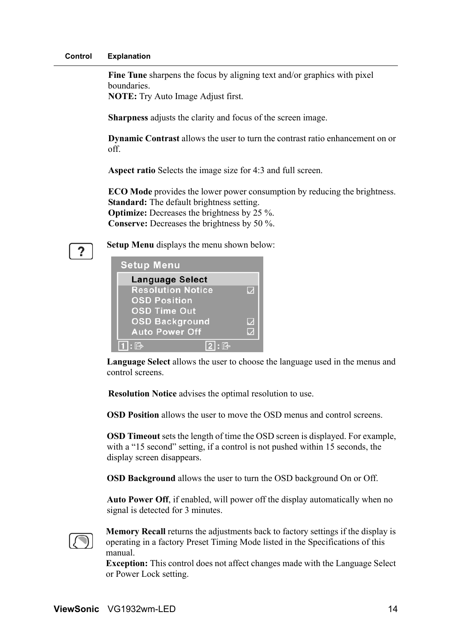**Fine Tune** sharpens the focus by aligning text and/or graphics with pixel boundaries.

**NOTE:** Try Auto Image Adjust first.

**Sharpness** adjusts the clarity and focus of the screen image.

**Dynamic Contrast** allows the user to turn the contrast ratio enhancement on or off.

**Aspect ratio** Selects the image size for 4:3 and full screen.

**ECO Mode** provides the lower power consumption by reducing the brightness. **Standard:** The default brightness setting. **Optimize:** Decreases the brightness by 25 %.

**Conserve:** Decreases the brightness by 50 %.

?

**Setup Menu** displays the menu shown below:

| <b>Setup Menu</b>        |             |
|--------------------------|-------------|
| <b>Language Select</b>   |             |
| <b>Resolution Notice</b> |             |
| <b>OSD Position</b>      |             |
| <b>OSD Time Out</b>      |             |
| <b>OSD Background</b>    | $\mathbf Q$ |
| <b>Auto Power Off</b>    |             |
| 心<br>$\cdot$ 64          |             |

**Language Select** allows the user to choose the language used in the menus and control screens.

**Resolution Notice** advises the optimal resolution to use.

**OSD Position** allows the user to move the OSD menus and control screens.

**OSD Timeout** sets the length of time the OSD screen is displayed. For example, with a "15 second" setting, if a control is not pushed within 15 seconds, the display screen disappears.

**OSD Background** allows the user to turn the OSD background On or Off.

**Auto Power Off**, if enabled, will power off the display automatically when no signal is detected for 3 minutes.



**Memory Recall** returns the adjustments back to factory settings if the display is operating in a factory Preset Timing Mode listed in the Specifications of this manual.

**Exception:** This control does not affect changes made with the Language Select or Power Lock setting.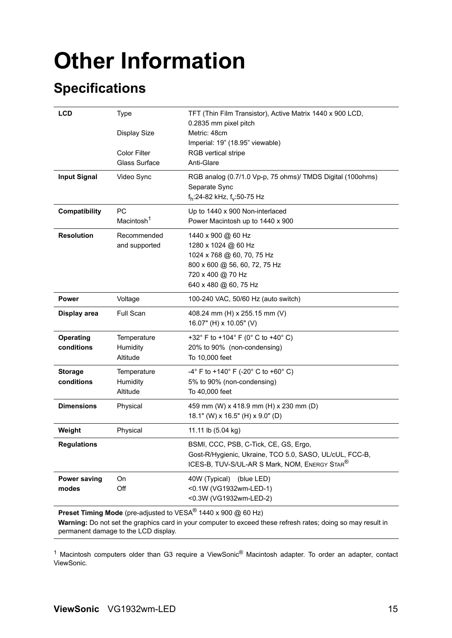# **Other Information**

# **Specifications**

| <b>LCD</b>                     | <b>Type</b><br><b>Display Size</b><br><b>Color Filter</b><br>Glass Surface | TFT (Thin Film Transistor), Active Matrix 1440 x 900 LCD,<br>0.2835 mm pixel pitch<br>Metric: 48cm<br>Imperial: 19" (18.95" viewable)<br>RGB vertical stripe<br>Anti-Glare |
|--------------------------------|----------------------------------------------------------------------------|----------------------------------------------------------------------------------------------------------------------------------------------------------------------------|
| <b>Input Signal</b>            | Video Sync                                                                 | RGB analog (0.7/1.0 Vp-p, 75 ohms)/ TMDS Digital (100ohms)<br>Separate Sync<br>f <sub>h</sub> :24-82 kHz, f <sub>v</sub> :50-75 Hz                                         |
| Compatibility                  | <b>PC</b><br>Macintosh <sup>1</sup>                                        | Up to 1440 x 900 Non-interlaced<br>Power Macintosh up to 1440 x 900                                                                                                        |
| <b>Resolution</b>              | Recommended<br>and supported                                               | 1440 x 900 @ 60 Hz<br>1280 x 1024 @ 60 Hz<br>1024 x 768 @ 60, 70, 75 Hz<br>800 x 600 @ 56, 60, 72, 75 Hz<br>720 x 400 @ 70 Hz<br>640 x 480 @ 60, 75 Hz                     |
| <b>Power</b>                   | Voltage                                                                    | 100-240 VAC, 50/60 Hz (auto switch)                                                                                                                                        |
| Display area                   | Full Scan                                                                  | 408.24 mm (H) x 255.15 mm (V)<br>16.07" (H) x 10.05" (V)                                                                                                                   |
| <b>Operating</b><br>conditions | Temperature<br>Humidity<br>Altitude                                        | +32° F to +104° F (0° C to +40° C)<br>20% to 90% (non-condensing)<br>To 10,000 feet                                                                                        |
| <b>Storage</b><br>conditions   | Temperature<br>Humidity<br>Altitude                                        | $-4^{\circ}$ F to +140 $^{\circ}$ F (-20 $^{\circ}$ C to +60 $^{\circ}$ C)<br>5% to 90% (non-condensing)<br>To 40,000 feet                                                 |
| <b>Dimensions</b>              | Physical                                                                   | 459 mm (W) x 418.9 mm (H) x 230 mm (D)<br>18.1" (W) x 16.5" (H) x 9.0" (D)                                                                                                 |
| Weight                         | Physical                                                                   | 11.11 lb (5.04 kg)                                                                                                                                                         |
| <b>Regulations</b>             |                                                                            | BSMI, CCC, PSB, C-Tick, CE, GS, Ergo,<br>Gost-R/Hygienic, Ukraine, TCO 5.0, SASO, UL/cUL, FCC-B,<br>ICES-B, TUV-S/UL-AR S Mark, NOM, ENERGY STAR <sup>®</sup>              |
| <b>Power saving</b><br>modes   | On<br>Off                                                                  | 40W (Typical) (blue LED)<br><0.1W (VG1932wm-LED-1)<br><0.3W (VG1932wm-LED-2)<br><b>Preset Timing Mode</b> (pre-adjusted to $VFSA^@1440 \times 900$ $\odot$ 60 Hz)          |

**Preset Timing Mode** (pre-adjusted to VESA<sup>®</sup> 1440 x 900 @ 60 Hz)

**Warning:** Do not set the graphics card in your computer to exceed these refresh rates; doing so may result in permanent damage to the LCD display.

<sup>1</sup> Macintosh computers older than G3 require a ViewSonic<sup>®</sup> Macintosh adapter. To order an adapter, contact ViewSonic.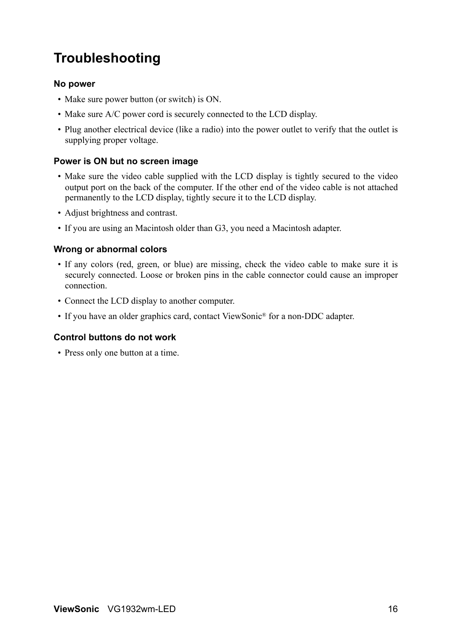# **Troubleshooting**

### **No power**

- Make sure power button (or switch) is ON.
- Make sure A/C power cord is securely connected to the LCD display.
- Plug another electrical device (like a radio) into the power outlet to verify that the outlet is supplying proper voltage.

### **Power is ON but no screen image**

- Make sure the video cable supplied with the LCD display is tightly secured to the video output port on the back of the computer. If the other end of the video cable is not attached permanently to the LCD display, tightly secure it to the LCD display.
- Adjust brightness and contrast.
- If you are using an Macintosh older than G3, you need a Macintosh adapter.

### **Wrong or abnormal colors**

- If any colors (red, green, or blue) are missing, check the video cable to make sure it is securely connected. Loose or broken pins in the cable connector could cause an improper connection.
- Connect the LCD display to another computer.
- If you have an older graphics card, contact ViewSonic® for a non-DDC adapter.

## **Control buttons do not work**

• Press only one button at a time.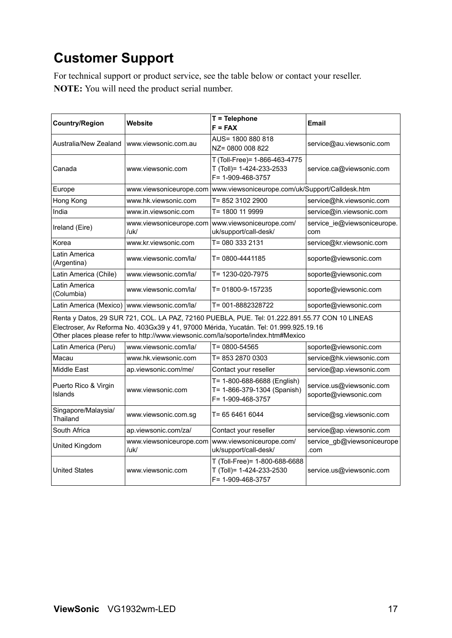# **Customer Support**

For technical support or product service, see the table below or contact your reseller. **NOTE:** You will need the product serial number.

| <b>Country/Region</b>           | Website                                        | T = Telephone<br>$F = FAX$                                                                                                                                                                                                                                                   | Email                                             |
|---------------------------------|------------------------------------------------|------------------------------------------------------------------------------------------------------------------------------------------------------------------------------------------------------------------------------------------------------------------------------|---------------------------------------------------|
| Australia/New Zealand           | www.viewsonic.com.au                           | AUS= 1800 880 818<br>NZ= 0800 008 822                                                                                                                                                                                                                                        | service@au.viewsonic.com                          |
| Canada                          | www.viewsonic.com                              | T (Toll-Free)= 1-866-463-4775<br>T (Toll)= 1-424-233-2533<br>F= 1-909-468-3757                                                                                                                                                                                               | service.ca@viewsonic.com                          |
| Europe                          | www.viewsoniceurope.com                        | www.viewsoniceurope.com/uk/Support/Calldesk.htm                                                                                                                                                                                                                              |                                                   |
| Hong Kong                       | www.hk.viewsonic.com                           | T= 852 3102 2900                                                                                                                                                                                                                                                             | service@hk.viewsonic.com                          |
| India                           | www.in.viewsonic.com                           | T= 1800 11 9999                                                                                                                                                                                                                                                              | service@in.viewsonic.com                          |
| Ireland (Eire)                  | www.viewsoniceurope.com<br>/uk/                | www.viewsoniceurope.com/<br>uk/support/call-desk/                                                                                                                                                                                                                            | service ie@viewsoniceurope.<br>com                |
| Korea                           | www.kr.viewsonic.com                           | T= 080 333 2131                                                                                                                                                                                                                                                              | service@kr.viewsonic.com                          |
| Latin America<br>(Argentina)    | www.viewsonic.com/la/                          | T= 0800-4441185                                                                                                                                                                                                                                                              | soporte@viewsonic.com                             |
| Latin America (Chile)           | www.viewsonic.com/la/                          | T= 1230-020-7975                                                                                                                                                                                                                                                             | soporte@viewsonic.com                             |
| Latin America<br>(Columbia)     | www.viewsonic.com/la/                          | T= 01800-9-157235                                                                                                                                                                                                                                                            | soporte@viewsonic.com                             |
|                                 | Latin America (Mexico)   www.viewsonic.com/la/ | T= 001-8882328722                                                                                                                                                                                                                                                            | soporte@viewsonic.com                             |
|                                 |                                                | Renta y Datos, 29 SUR 721, COL. LA PAZ, 72160 PUEBLA, PUE. Tel: 01.222.891.55.77 CON 10 LINEAS<br>Electroser, Av Reforma No. 403Gx39 y 41, 97000 Mérida, Yucatán. Tel: 01.999.925.19.16<br>Other places please refer to http://www.viewsonic.com/la/soporte/index.htm#Mexico |                                                   |
| Latin America (Peru)            | www.viewsonic.com/la/                          | T= 0800-54565                                                                                                                                                                                                                                                                | soporte@viewsonic.com                             |
| Macau                           | www.hk.viewsonic.com                           | T= 853 2870 0303                                                                                                                                                                                                                                                             | service@hk.viewsonic.com                          |
| Middle East                     | ap.viewsonic.com/me/                           | Contact your reseller                                                                                                                                                                                                                                                        | service@ap.viewsonic.com                          |
| Puerto Rico & Virgin<br>Islands | www.viewsonic.com                              | T= 1-800-688-6688 (English)<br>T= 1-866-379-1304 (Spanish)<br>F= 1-909-468-3757                                                                                                                                                                                              | service.us@viewsonic.com<br>soporte@viewsonic.com |
| Singapore/Malaysia/<br>Thailand | www.viewsonic.com.sg                           | T= 65 6461 6044                                                                                                                                                                                                                                                              | service@sg.viewsonic.com                          |
| South Africa                    | ap.viewsonic.com/za/                           | Contact your reseller                                                                                                                                                                                                                                                        | service@ap.viewsonic.com                          |
| United Kingdom                  | www.viewsoniceurope.com<br>/uk/                | www.viewsoniceurope.com/<br>uk/support/call-desk/                                                                                                                                                                                                                            | service_gb@viewsoniceurope<br>.com                |
| <b>United States</b>            | www.viewsonic.com                              | T (Toll-Free)= 1-800-688-6688<br>T (Toll)= 1-424-233-2530<br>F= 1-909-468-3757                                                                                                                                                                                               | service.us@viewsonic.com                          |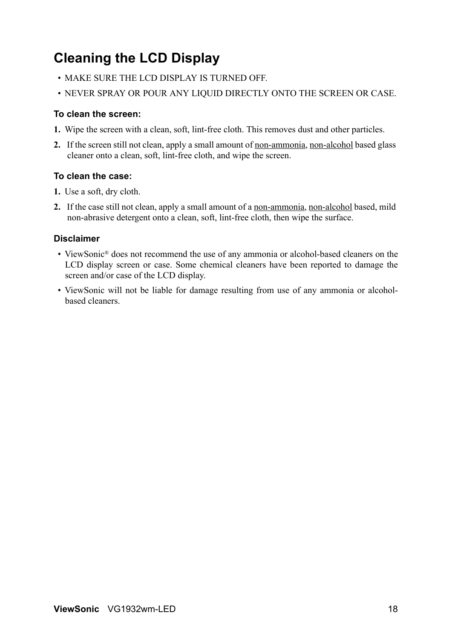# **Cleaning the LCD Display**

- MAKE SURE THE LCD DISPLAY IS TURNED OFF.
- NEVER SPRAY OR POUR ANY LIQUID DIRECTLY ONTO THE SCREEN OR CASE.

## **To clean the screen:**

- **1.** Wipe the screen with a clean, soft, lint-free cloth. This removes dust and other particles.
- **2.** If the screen still not clean, apply a small amount of non-ammonia, non-alcohol based glass cleaner onto a clean, soft, lint-free cloth, and wipe the screen.

## **To clean the case:**

- **1.** Use a soft, dry cloth.
- **2.** If the case still not clean, apply a small amount of a non-ammonia, non-alcohol based, mild non-abrasive detergent onto a clean, soft, lint-free cloth, then wipe the surface.

## **Disclaimer**

- ViewSonic<sup>®</sup> does not recommend the use of any ammonia or alcohol-based cleaners on the LCD display screen or case. Some chemical cleaners have been reported to damage the screen and/or case of the LCD display.
- ViewSonic will not be liable for damage resulting from use of any ammonia or alcoholbased cleaners.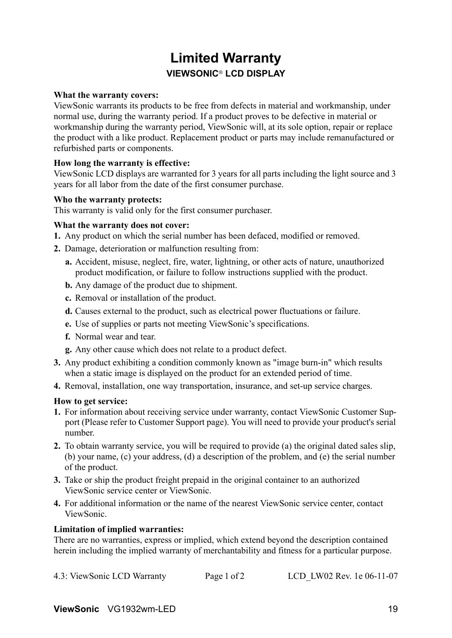# **Limited Warranty VIEWSONIC**® **LCD DISPLAY**

### **What the warranty covers:**

ViewSonic warrants its products to be free from defects in material and workmanship, under normal use, during the warranty period. If a product proves to be defective in material or workmanship during the warranty period, ViewSonic will, at its sole option, repair or replace the product with a like product. Replacement product or parts may include remanufactured or refurbished parts or components.

### **How long the warranty is effective:**

ViewSonic LCD displays are warranted for 3 years for all parts including the light source and 3 years for all labor from the date of the first consumer purchase.

### **Who the warranty protects:**

This warranty is valid only for the first consumer purchaser.

### **What the warranty does not cover:**

- **1.** Any product on which the serial number has been defaced, modified or removed.
- **2.** Damage, deterioration or malfunction resulting from:
	- **a.** Accident, misuse, neglect, fire, water, lightning, or other acts of nature, unauthorized product modification, or failure to follow instructions supplied with the product.
	- **b.** Any damage of the product due to shipment.
	- **c.** Removal or installation of the product.
	- **d.** Causes external to the product, such as electrical power fluctuations or failure.
	- **e.** Use of supplies or parts not meeting ViewSonic's specifications.
	- **f.** Normal wear and tear.
	- **g.** Any other cause which does not relate to a product defect.
- **3.** Any product exhibiting a condition commonly known as "image burn-in" which results when a static image is displayed on the product for an extended period of time.
- **4.** Removal, installation, one way transportation, insurance, and set-up service charges.

#### **How to get service:**

- **1.** For information about receiving service under warranty, contact ViewSonic Customer Support (Please refer to Customer Support page). You will need to provide your product's serial number.
- **2.** To obtain warranty service, you will be required to provide (a) the original dated sales slip, (b) your name, (c) your address, (d) a description of the problem, and (e) the serial number of the product.
- **3.** Take or ship the product freight prepaid in the original container to an authorized ViewSonic service center or ViewSonic.
- **4.** For additional information or the name of the nearest ViewSonic service center, contact ViewSonic.

#### **Limitation of implied warranties:**

There are no warranties, express or implied, which extend beyond the description contained herein including the implied warranty of merchantability and fitness for a particular purpose.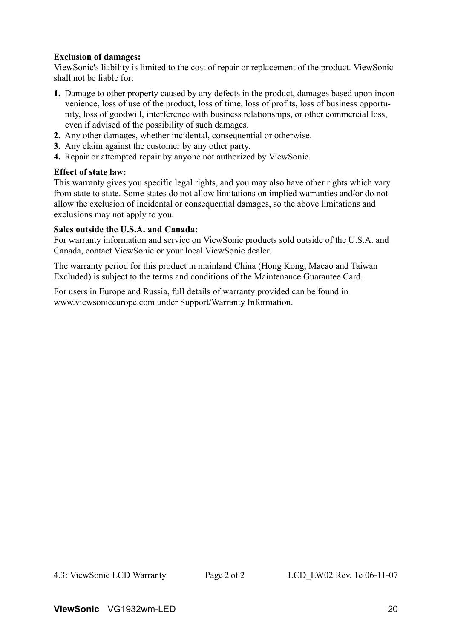### **Exclusion of damages:**

ViewSonic's liability is limited to the cost of repair or replacement of the product. ViewSonic shall not be liable for:

- **1.** Damage to other property caused by any defects in the product, damages based upon inconvenience, loss of use of the product, loss of time, loss of profits, loss of business opportunity, loss of goodwill, interference with business relationships, or other commercial loss, even if advised of the possibility of such damages.
- **2.** Any other damages, whether incidental, consequential or otherwise.
- **3.** Any claim against the customer by any other party.
- **4.** Repair or attempted repair by anyone not authorized by ViewSonic.

### **Effect of state law:**

This warranty gives you specific legal rights, and you may also have other rights which vary from state to state. Some states do not allow limitations on implied warranties and/or do not allow the exclusion of incidental or consequential damages, so the above limitations and exclusions may not apply to you.

### **Sales outside the U.S.A. and Canada:**

For warranty information and service on ViewSonic products sold outside of the U.S.A. and Canada, contact ViewSonic or your local ViewSonic dealer.

The warranty period for this product in mainland China (Hong Kong, Macao and Taiwan Excluded) is subject to the terms and conditions of the Maintenance Guarantee Card.

For users in Europe and Russia, full details of warranty provided can be found in www.viewsoniceurope.com under Support/Warranty Information.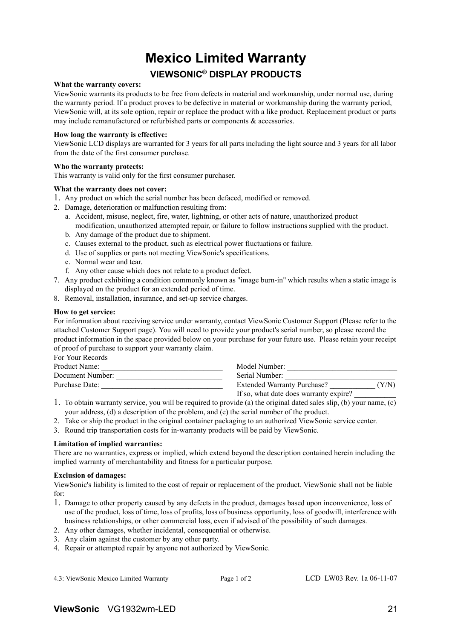# **Mexico Limited Warranty VIEWSONIC® DISPLAY PRODUCTS**

#### **What the warranty covers:**

ViewSonic warrants its products to be free from defects in material and workmanship, under normal use, during the warranty period. If a product proves to be defective in material or workmanship during the warranty period, ViewSonic will, at its sole option, repair or replace the product with a like product. Replacement product or parts may include remanufactured or refurbished parts or components & accessories.

#### **How long the warranty is effective:**

ViewSonic LCD displays are warranted for 3 years for all parts including the light source and 3 years for all labor from the date of the first consumer purchase.

#### **Who the warranty protects:**

This warranty is valid only for the first consumer purchaser.

#### **What the warranty does not cover:**

- 1. Any product on which the serial number has been defaced, modified or removed.
- 2. Damage, deterioration or malfunction resulting from:
	- a. Accident, misuse, neglect, fire, water, lightning, or other acts of nature, unauthorized product modification, unauthorized attempted repair, or failure to follow instructions supplied with the product.
	- b. Any damage of the product due to shipment.
	- c. Causes external to the product, such as electrical power fluctuations or failure.
	- d. Use of supplies or parts not meeting ViewSonic's specifications.
	- e. Normal wear and tear.
	- f. Any other cause which does not relate to a product defect.
- 7. Any product exhibiting a condition commonly known as "image burn-in" which results when a static image is displayed on the product for an extended period of time.
- 8. Removal, installation, insurance, and set-up service charges.

#### **How to get service:**

For information about receiving service under warranty, contact ViewSonic Customer Support (Please refer to the attached Customer Support page). You will need to provide your product's serial number, so please record the product information in the space provided below on your purchase for your future use. Please retain your receipt of proof of purchase to support your warranty claim.

For Your Records

| Product Name:    | Model Number:                               |
|------------------|---------------------------------------------|
| Document Number: | Serial Number:                              |
| Purchase Date:   | <b>Extended Warranty Purchase?</b><br>'Y/N) |
|                  | If so, what date does warranty expire?      |

- 1. To obtain warranty service, you will be required to provide (a) the original dated sales slip, (b) your name, (c) your address, (d) a description of the problem, and (e) the serial number of the product.
- 2. Take or ship the product in the original container packaging to an authorized ViewSonic service center.
- 3. Round trip transportation costs for in-warranty products will be paid by ViewSonic.

#### **Limitation of implied warranties:**

There are no warranties, express or implied, which extend beyond the description contained herein including the implied warranty of merchantability and fitness for a particular purpose.

#### **Exclusion of damages:**

ViewSonic's liability is limited to the cost of repair or replacement of the product. ViewSonic shall not be liable for:

- 1. Damage to other property caused by any defects in the product, damages based upon inconvenience, loss of use of the product, loss of time, loss of profits, loss of business opportunity, loss of goodwill, interference with business relationships, or other commercial loss, even if advised of the possibility of such damages.
- 2. Any other damages, whether incidental, consequential or otherwise.
- 3. Any claim against the customer by any other party.
- 4. Repair or attempted repair by anyone not authorized by ViewSonic.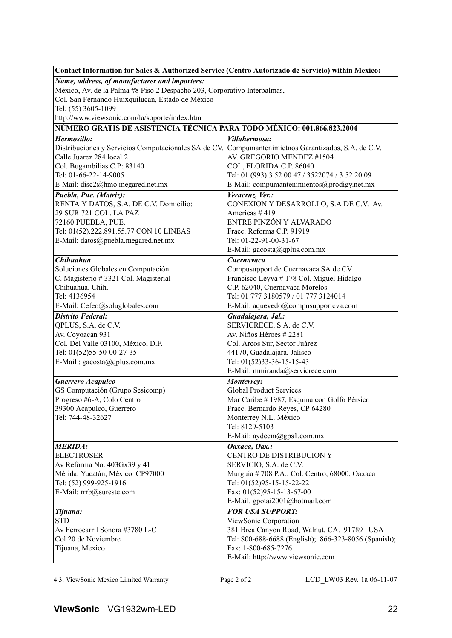| Contact Information for Sales & Authorized Service (Centro Autorizado de Servicio) within Mexico:   |                                                              |  |  |  |  |
|-----------------------------------------------------------------------------------------------------|--------------------------------------------------------------|--|--|--|--|
| Name, address, of manufacturer and importers:                                                       |                                                              |  |  |  |  |
| México, Av. de la Palma #8 Piso 2 Despacho 203, Corporativo Interpalmas,                            |                                                              |  |  |  |  |
| Col. San Fernando Huixquilucan, Estado de México                                                    |                                                              |  |  |  |  |
| Tel: (55) 3605-1099                                                                                 |                                                              |  |  |  |  |
| http://www.viewsonic.com/la/soporte/index.htm                                                       |                                                              |  |  |  |  |
| NÚMERO GRATIS DE ASISTENCIA TÉCNICA PARA TODO MÉXICO: 001.866.823.2004                              |                                                              |  |  |  |  |
| Hermosillo:                                                                                         | Villahermosa:                                                |  |  |  |  |
| Distribuciones y Servicios Computacionales SA de CV. Compumantenimietnos Garantizados, S.A. de C.V. |                                                              |  |  |  |  |
| Calle Juarez 284 local 2                                                                            | AV. GREGORIO MENDEZ #1504                                    |  |  |  |  |
| Col. Bugambilias C.P: 83140                                                                         | COL, FLORIDA C.P. 86040                                      |  |  |  |  |
| Tel: 01-66-22-14-9005                                                                               | Tel: 01 (993) 3 52 00 47 / 3522074 / 3 52 20 09              |  |  |  |  |
| E-Mail: disc2@hmo.megared.net.mx                                                                    | E-Mail: compumantenimientos@prodigy.net.mx                   |  |  |  |  |
| Puebla, Pue. (Matriz):                                                                              | Veracruz, Ver.:                                              |  |  |  |  |
| RENTA Y DATOS, S.A. DE C.V. Domicilio:                                                              | CONEXION Y DESARROLLO, S.A DE C.V. Av.                       |  |  |  |  |
| 29 SUR 721 COL. LA PAZ                                                                              | Americas #419                                                |  |  |  |  |
| 72160 PUEBLA, PUE.                                                                                  | ENTRE PINZÓN Y ALVARADO                                      |  |  |  |  |
| Tel: 01(52).222.891.55.77 CON 10 LINEAS                                                             | Fracc. Reforma C.P. 91919                                    |  |  |  |  |
| E-Mail: datos@puebla.megared.net.mx                                                                 | Tel: 01-22-91-00-31-67                                       |  |  |  |  |
|                                                                                                     | E-Mail: gacosta@qplus.com.mx                                 |  |  |  |  |
| Chihuahua                                                                                           | Cuernavaca                                                   |  |  |  |  |
| Soluciones Globales en Computación                                                                  | Compusupport de Cuernavaca SA de CV                          |  |  |  |  |
| C. Magisterio # 3321 Col. Magisterial                                                               | Francisco Leyva # 178 Col. Miguel Hidalgo                    |  |  |  |  |
| Chihuahua, Chih.                                                                                    | C.P. 62040, Cuernavaca Morelos                               |  |  |  |  |
| Tel: 4136954                                                                                        | Tel: 01 777 3180579 / 01 777 3124014                         |  |  |  |  |
| E-Mail: Cefeo@soluglobales.com                                                                      | E-Mail: aquevedo@compusupportcva.com                         |  |  |  |  |
| <b>Distrito Federal:</b>                                                                            | Guadalajara, Jal.:                                           |  |  |  |  |
| QPLUS, S.A. de C.V.                                                                                 | SERVICRECE, S.A. de C.V.                                     |  |  |  |  |
| Av. Coyoacán 931                                                                                    | Av. Niños Héroes # 2281                                      |  |  |  |  |
| Col. Del Valle 03100, México, D.F.                                                                  | Col. Arcos Sur, Sector Juárez                                |  |  |  |  |
| Tel: 01(52)55-50-00-27-35                                                                           | 44170, Guadalajara, Jalisco                                  |  |  |  |  |
| E-Mail: gacosta@qplus.com.mx                                                                        | Tel: 01(52)33-36-15-15-43<br>E-Mail: mmiranda@servicrece.com |  |  |  |  |
|                                                                                                     |                                                              |  |  |  |  |
| Guerrero Acapulco                                                                                   | Monterrey:                                                   |  |  |  |  |
| GS Computación (Grupo Sesicomp)                                                                     | <b>Global Product Services</b>                               |  |  |  |  |
| Progreso #6-A, Colo Centro                                                                          | Mar Caribe # 1987, Esquina con Golfo Pérsico                 |  |  |  |  |
| 39300 Acapulco, Guerrero<br>Tel: 744-48-32627                                                       | Fracc. Bernardo Reyes, CP 64280<br>Monterrey N.L. México     |  |  |  |  |
|                                                                                                     | Tel: 8129-5103                                               |  |  |  |  |
|                                                                                                     | E-Mail: aydeem@gps1.com.mx                                   |  |  |  |  |
|                                                                                                     |                                                              |  |  |  |  |
| <b>MERIDA:</b><br><b>ELECTROSER</b>                                                                 | Oaxaca, Oax.:<br>CENTRO DE DISTRIBUCION Y                    |  |  |  |  |
| Av Reforma No. 403Gx39 y 41                                                                         | SERVICIO, S.A. de C.V.                                       |  |  |  |  |
| Mérida, Yucatán, México CP97000                                                                     | Murguía # 708 P.A., Col. Centro, 68000, Oaxaca               |  |  |  |  |
| Tel: (52) 999-925-1916                                                                              | Tel: 01(52)95-15-15-22-22                                    |  |  |  |  |
| E-Mail: rrrb@sureste.com                                                                            | Fax: 01(52)95-15-13-67-00                                    |  |  |  |  |
|                                                                                                     | E-Mail. gpotai2001@hotmail.com                               |  |  |  |  |
| Tijuana:                                                                                            | <b>FOR USA SUPPORT:</b>                                      |  |  |  |  |
| <b>STD</b>                                                                                          | ViewSonic Corporation                                        |  |  |  |  |
| Av Ferrocarril Sonora #3780 L-C                                                                     | 381 Brea Canyon Road, Walnut, CA. 91789 USA                  |  |  |  |  |
| Col 20 de Noviembre                                                                                 | Tel: 800-688-6688 (English); 866-323-8056 (Spanish);         |  |  |  |  |
| Tijuana, Mexico                                                                                     | Fax: 1-800-685-7276                                          |  |  |  |  |
|                                                                                                     | E-Mail: http://www.viewsonic.com                             |  |  |  |  |

4.3: ViewSonic Mexico Limited Warranty Page 2 of 2 LCD\_LW03 Rev. 1a 06-11-07